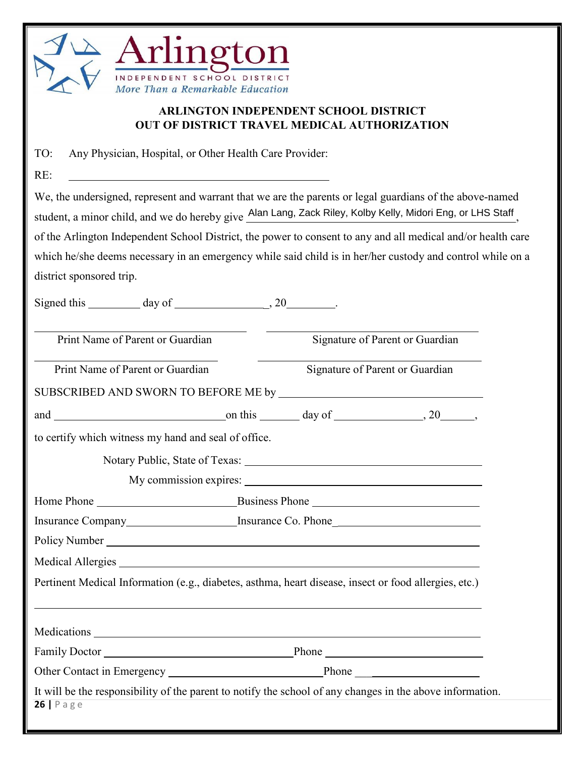

RE:

## **ARLINGTON INDEPENDENT SCHOOL DISTRICT OUT OF DISTRICT TRAVEL MEDICAL AUTHORIZATION**

TO: Any Physician, Hospital, or Other Health Care Provider:

We, the undersigned, represent and warrant that we are the parents or legal guardians of the above-named student, a minor child, and we do hereby give Alan Lang, Zack Riley, Kolby Kelly, Midori Eng, or LHS Staff of the Arlington Independent School District, the power to consent to any and all medical and/or health care which he/she deems necessary in an emergency while said child is in her/her custody and control while on a district sponsored trip.

| Signed this $\_\_\_\_$ day of $\_\_\_\_\_$ , 20 $\_\_\_\_\_$ . |  |                                 |                                 |                                                                                                           |  |
|----------------------------------------------------------------|--|---------------------------------|---------------------------------|-----------------------------------------------------------------------------------------------------------|--|
| Print Name of Parent or Guardian                               |  | Signature of Parent or Guardian |                                 |                                                                                                           |  |
| Print Name of Parent or Guardian                               |  |                                 | Signature of Parent or Guardian |                                                                                                           |  |
|                                                                |  |                                 |                                 |                                                                                                           |  |
|                                                                |  |                                 |                                 | and $\frac{\ }{\ }$ on this $\frac{\ }{\ }$ day of $\frac{\ }{\ }$ , 20 $\frac{\ }{\ }$ ,                 |  |
| to certify which witness my hand and seal of office.           |  |                                 |                                 |                                                                                                           |  |
|                                                                |  |                                 |                                 |                                                                                                           |  |
|                                                                |  |                                 |                                 |                                                                                                           |  |
|                                                                |  |                                 |                                 |                                                                                                           |  |
|                                                                |  |                                 |                                 |                                                                                                           |  |
|                                                                |  |                                 |                                 |                                                                                                           |  |
|                                                                |  |                                 |                                 |                                                                                                           |  |
|                                                                |  |                                 |                                 | Pertinent Medical Information (e.g., diabetes, asthma, heart disease, insect or food allergies, etc.)     |  |
|                                                                |  |                                 |                                 |                                                                                                           |  |
|                                                                |  |                                 |                                 |                                                                                                           |  |
|                                                                |  |                                 |                                 |                                                                                                           |  |
| $26$   Page                                                    |  |                                 |                                 | It will be the responsibility of the parent to notify the school of any changes in the above information. |  |